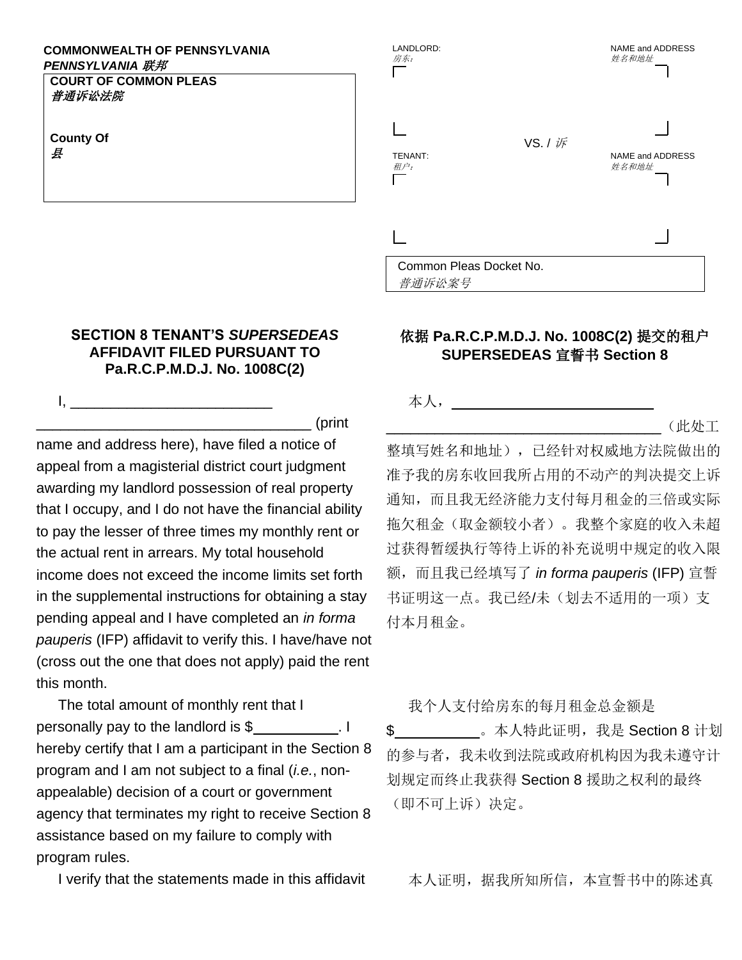## **COMMONWEALTH OF PENNSYLVANIA** *PENNSYLVANIA* 联邦

**COURT OF COMMON PLEAS** 普通诉讼法院

 $\mathbf{I}_{\mathbf{I}_{\mathbf{I}}}$ 

**County Of** 县

## **SECTION 8 TENANT'S** *SUPERSEDEAS*  **AFFIDAVIT FILED PURSUANT TO Pa.R.C.P.M.D.J. No. 1008C(2)**

\_\_\_\_\_\_\_\_\_\_\_\_\_\_\_\_\_\_\_\_\_\_\_\_\_\_\_\_\_\_\_\_\_\_ (print

name and address here), have filed a notice of appeal from a magisterial district court judgment awarding my landlord possession of real property that I occupy, and I do not have the financial ability to pay the lesser of three times my monthly rent or the actual rent in arrears. My total household income does not exceed the income limits set forth in the supplemental instructions for obtaining a stay pending appeal and I have completed an *in forma pauperis* (IFP) affidavit to verify this. I have/have not (cross out the one that does not apply) paid the rent this month.

The total amount of monthly rent that I personally pay to the landlord is \$ hereby certify that I am a participant in the Section 8 program and I am not subject to a final (*i.e.*, nonappealable) decision of a court or government agency that terminates my right to receive Section 8 assistance based on my failure to comply with program rules.



## 依据 **Pa.R.C.P.M.D.J. No. 1008C(2)** 提交的租户 **SUPERSEDEAS** 宣誓书 **Section 8**

本人,\_\_\_\_\_\_\_\_\_\_\_\_\_\_\_\_\_\_\_\_\_\_\_\_\_

 $-(\text{\rm L}\,\&\,\text{\rm L}\,\pm\,\text{\rm L})$ 

整填写姓名和地址),已经针对权威地方法院做出的 准予我的房东收回我所占用的不动产的判决提交上诉 通知,而且我无经济能力支付每月租金的三倍或实际 拖欠租金(取金额较小者)。我整个家庭的收入未超 过获得暂缓执行等待上诉的补充说明中规定的收入限 额,而且我已经填写了 *in forma pauperis* (IFP) 宣誓 书证明这一点。我已经/未(划去不适用的一项)支 付本月租金。

我个人支付给房东的每月租金总金额是

\$ \_\_\_\_\_\_\_\_\_\_\_\_。本人特此证明, 我是 Section 8 计划 的参与者,我未收到法院或政府机构因为我未遵守计 划规定而终止我获得 Section 8 援助之权利的最终 (即不可上诉)决定。

I verify that the statements made in this affidavit 本人证明,据我所知所信,本宣誓书中的陈述真